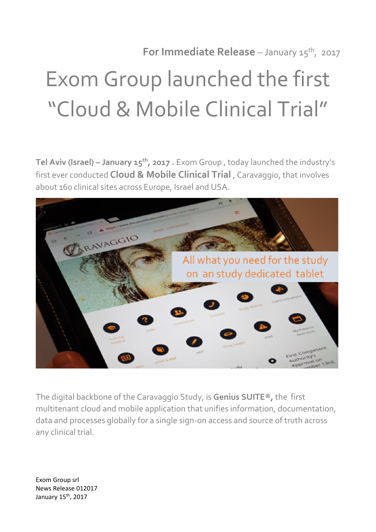**For Immediate Release** – January 15<sup>th</sup>, 2017

## Exom Group launched the first "Cloud & Mobile Clinical Trial"

**Tel Aviv (Israel) – January 15th , 2017 .** Exom Group , today launched the industry's first ever conducted **Cloud & Mobile Clinical Trial** , Caravaggio, that involves about 160 clinical sites across Europe, Israel and USA.



The digital backbone of the Caravaggio Study, is **Genius SUITE® ,** the first multitenant cloud and mobile application that unifies information, documentation, data and processes globally for a single sign-on access and source of truth across any clinical trial.

Exom Group srl News Release 012017 January 15<sup>th</sup>, 2017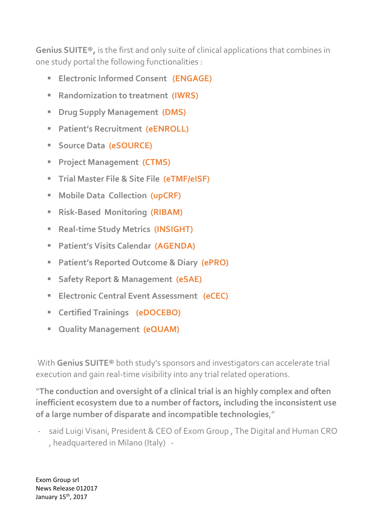**Genius SUITE® ,** is the first and only suite of clinical applications that combines in one study portal the following functionalities :

- **Electronic Informed Consent (ENGAGE)**
- **Randomization to treatment (IWRS)**
- **B** Drug Supply Management (DMS)
- **Patient's Recruitment (eENROLL)**
- **Source Data (eSOURCE)**
- **Project Management (CTMS)**
- **Trial Master File & Site File (eTMF/eISF)**
- **Mobile Data Collection (upCRF)**
- **Risk-Based Monitoring (RIBAM)**
- **Real-time Study Metrics (INSIGHT)**
- **Patient's Visits Calendar (AGENDA)**
- **Patient's Reported Outcome & Diary (ePRO)**
- **Safety Report & Management (eSAE)**
- **Electronic Central Event Assessment (eCEC)**
- **E** Certified Trainings (eDOCEBO)
- **E** Quality Management (eQUAM)

With **Genius SUITE®** both study's sponsors and investigators can accelerate trial execution and gain real-time visibility into any trial related operations.

"**The conduction and oversight of a clinical trial is an highly complex and often inefficient ecosystem due to a number of factors, including the inconsistent use of a large number of disparate and incompatible technologies**,"

said Luigi Visani, President & CEO of Exom Group, The Digital and Human CRO , headquartered in Milano (Italy) -

Exom Group srl News Release 012017 January 15<sup>th</sup>, 2017